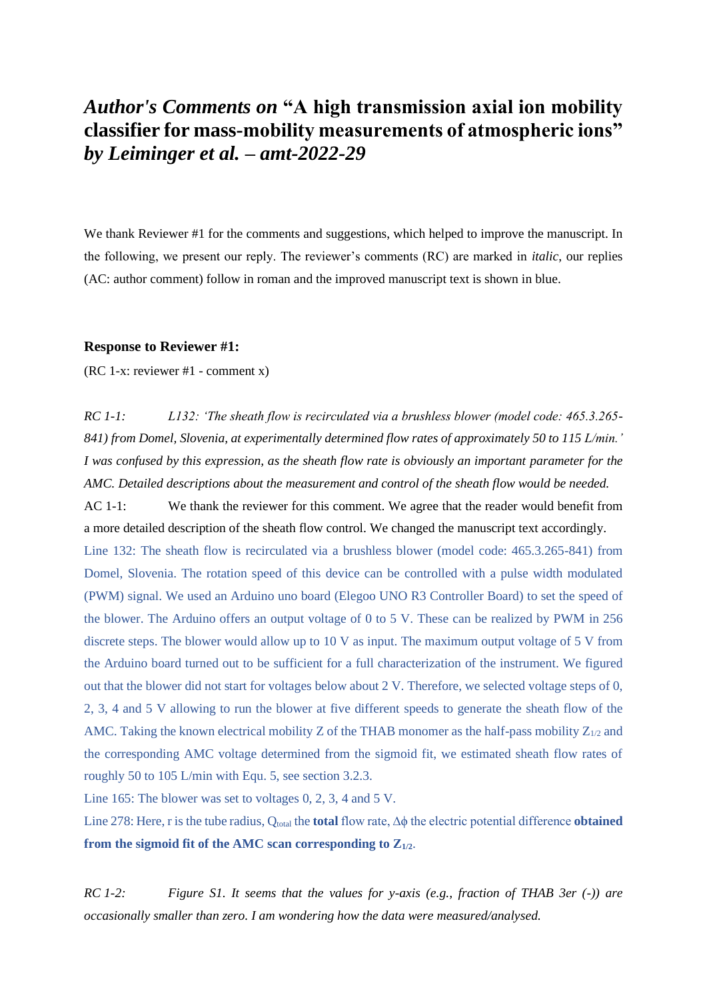## *Author's Comments on* **"A high transmission axial ion mobility classifier for mass-mobility measurements of atmospheric ions"**  *by Leiminger et al. – amt-2022-29*

We thank Reviewer #1 for the comments and suggestions, which helped to improve the manuscript. In the following, we present our reply. The reviewer's comments (RC) are marked in *italic*, our replies (AC: author comment) follow in roman and the improved manuscript text is shown in blue.

## **Response to Reviewer #1:**

(RC 1-x: reviewer #1 - comment x)

*RC 1-1: L132: 'The sheath flow is recirculated via a brushless blower (model code: 465.3.265- 841) from Domel, Slovenia, at experimentally determined flow rates of approximately 50 to 115 L/min.' I was confused by this expression, as the sheath flow rate is obviously an important parameter for the AMC. Detailed descriptions about the measurement and control of the sheath flow would be needed.*

AC 1-1: We thank the reviewer for this comment. We agree that the reader would benefit from a more detailed description of the sheath flow control. We changed the manuscript text accordingly. Line 132: The sheath flow is recirculated via a brushless blower (model code: 465.3.265-841) from Domel, Slovenia. The rotation speed of this device can be controlled with a pulse width modulated (PWM) signal. We used an Arduino uno board (Elegoo UNO R3 Controller Board) to set the speed of the blower. The Arduino offers an output voltage of 0 to 5 V. These can be realized by PWM in 256 discrete steps. The blower would allow up to 10 V as input. The maximum output voltage of 5 V from the Arduino board turned out to be sufficient for a full characterization of the instrument. We figured out that the blower did not start for voltages below about 2 V. Therefore, we selected voltage steps of 0, 2, 3, 4 and 5 V allowing to run the blower at five different speeds to generate the sheath flow of the AMC. Taking the known electrical mobility Z of the THAB monomer as the half-pass mobility  $Z_{1/2}$  and the corresponding AMC voltage determined from the sigmoid fit, we estimated sheath flow rates of roughly 50 to 105 L/min with Equ. 5, see section 3.2.3.

Line 165: The blower was set to voltages 0, 2, 3, 4 and 5 V.

Line 278: Here, r is the tube radius, Q<sub>total</sub> the **total** flow rate, Δϕ the electric potential difference **obtained from the sigmoid fit of the AMC scan corresponding to Z1/2**.

*RC 1-2: Figure S1. It seems that the values for y-axis (e.g., fraction of THAB 3er (-)) are occasionally smaller than zero. I am wondering how the data were measured/analysed.*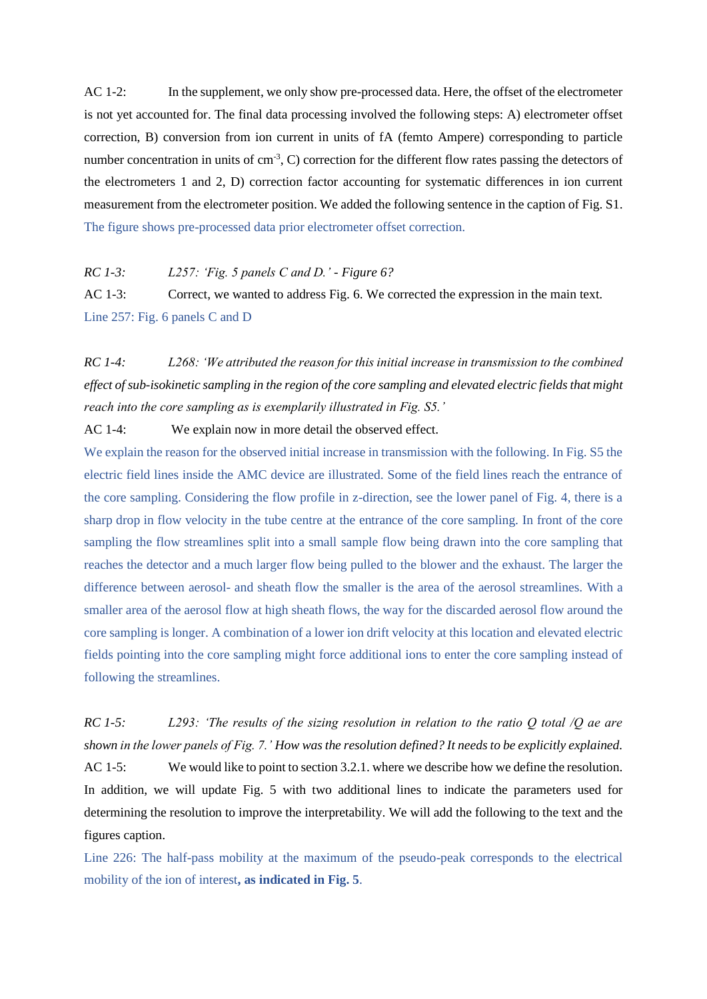AC 1-2: In the supplement, we only show pre-processed data. Here, the offset of the electrometer is not yet accounted for. The final data processing involved the following steps: A) electrometer offset correction, B) conversion from ion current in units of fA (femto Ampere) corresponding to particle number concentration in units of  $cm<sup>3</sup>$ , C) correction for the different flow rates passing the detectors of the electrometers 1 and 2, D) correction factor accounting for systematic differences in ion current measurement from the electrometer position. We added the following sentence in the caption of Fig. S1. The figure shows pre-processed data prior electrometer offset correction.

*RC 1-3: L257: 'Fig. 5 panels C and D.' - Figure 6?*

AC 1-3: Correct, we wanted to address Fig. 6. We corrected the expression in the main text. Line 257: Fig. 6 panels C and D

*RC 1-4: L268: 'We attributed the reason for this initial increase in transmission to the combined effect of sub-isokinetic sampling in the region of the core sampling and elevated electric fields that might reach into the core sampling as is exemplarily illustrated in Fig. S5.'*

AC 1-4: We explain now in more detail the observed effect.

We explain the reason for the observed initial increase in transmission with the following. In Fig. S5 the electric field lines inside the AMC device are illustrated. Some of the field lines reach the entrance of the core sampling. Considering the flow profile in z-direction, see the lower panel of Fig. 4, there is a sharp drop in flow velocity in the tube centre at the entrance of the core sampling. In front of the core sampling the flow streamlines split into a small sample flow being drawn into the core sampling that reaches the detector and a much larger flow being pulled to the blower and the exhaust. The larger the difference between aerosol- and sheath flow the smaller is the area of the aerosol streamlines. With a smaller area of the aerosol flow at high sheath flows, the way for the discarded aerosol flow around the core sampling is longer. A combination of a lower ion drift velocity at this location and elevated electric fields pointing into the core sampling might force additional ions to enter the core sampling instead of following the streamlines.

*RC 1-5: L293: 'The results of the sizing resolution in relation to the ratio Q total /Q ae are shown in the lower panels of Fig. 7.' How was the resolution defined? It needs to be explicitly explained.* AC 1-5: We would like to point to section 3.2.1. where we describe how we define the resolution. In addition, we will update Fig. 5 with two additional lines to indicate the parameters used for determining the resolution to improve the interpretability. We will add the following to the text and the figures caption.

Line 226: The half-pass mobility at the maximum of the pseudo-peak corresponds to the electrical mobility of the ion of interest**, as indicated in Fig. 5**.